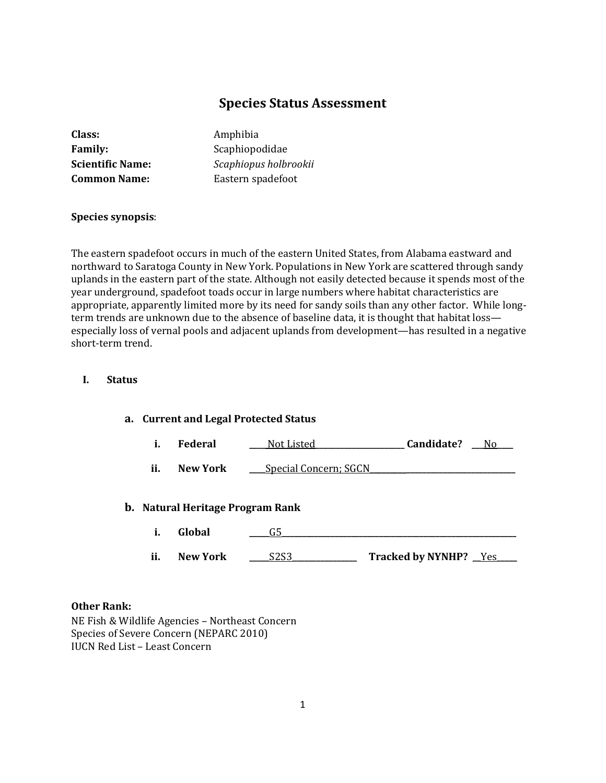# **Species Status Assessment**

| Class:                  |  |
|-------------------------|--|
| <b>Family:</b>          |  |
| <b>Scientific Name:</b> |  |
| <b>Common Name:</b>     |  |

**Class:** Amphibia **Family:** Scaphiopodidae  $Scaphiopus$  *holbrookii* **Common Name:** Eastern spadefoot

## **Species synopsis**:

The eastern spadefoot occurs in much of the eastern United States, from Alabama eastward and northward to Saratoga County in New York. Populations in New York are scattered through sandy uplands in the eastern part of the state. Although not easily detected because it spends most of the year underground, spadefoot toads occur in large numbers where habitat characteristics are appropriate, apparently limited more by its need for sandy soils than any other factor. While longterm trends are unknown due to the absence of baseline data, it is thought that habitat loss especially loss of vernal pools and adjacent uplands from development—has resulted in a negative short-term trend.

#### **I. Status**

# **a. Current and Legal Protected Status i. Federal \_\_\_\_** Not Listed**\_\_\_\_\_\_\_\_\_\_\_\_\_\_\_\_\_\_\_\_\_\_ Candidate? \_\_\_**No**\_\_\_\_ ii. New York \_\_\_\_**Special Concern; SGCN \_\_\_\_\_\_\_ **b. Natural Heritage Program Rank i. Global \_\_\_\_\_**G5**\_\_\_\_\_\_\_\_\_\_\_\_\_\_\_\_\_\_\_\_\_\_\_\_\_\_\_\_\_\_\_\_\_\_\_\_\_\_\_\_\_\_\_\_\_\_\_\_\_\_\_\_\_\_\_\_\_\_ ii. New York \_\_\_\_\_**S2S3**\_\_\_\_\_\_\_\_\_\_\_\_\_\_\_\_ Tracked by NYNHP? \_\_**Yes**\_\_\_\_\_**

#### **Other Rank:**

NE Fish & Wildlife Agencies – Northeast Concern Species of Severe Concern (NEPARC 2010) IUCN Red List – Least Concern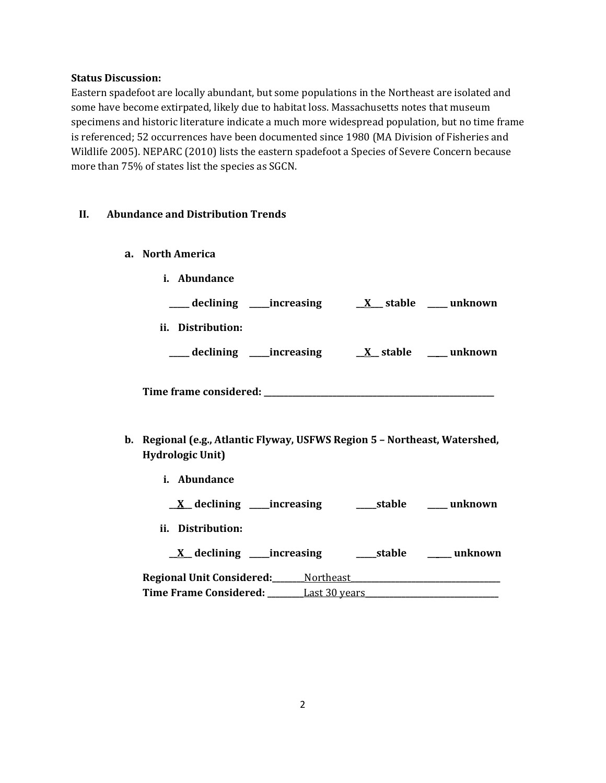## **Status Discussion:**

Eastern spadefoot are locally abundant, but some populations in the Northeast are isolated and some have become extirpated, likely due to habitat loss. Massachusetts notes that museum specimens and historic literature indicate a much more widespread population, but no time frame is referenced; 52 occurrences have been documented since 1980 (MA Division of Fisheries and Wildlife 2005). NEPARC (2010) lists the eastern spadefoot a Species of Severe Concern because more than 75% of states list the species as SGCN.

# **II. Abundance and Distribution Trends**

- **a. North America**
	- **i. Abundance**

| declining<br>_increasing | stable<br>X | unknown |
|--------------------------|-------------|---------|
| Distribution:<br>нi.     |             |         |
| declining<br>_increasing | $X$ stable  | unknown |

**Time frame considered: \_\_\_\_\_\_\_\_\_\_\_\_\_\_\_\_\_\_\_\_\_\_\_\_\_\_\_\_\_\_\_\_\_\_\_\_\_\_\_\_\_\_\_\_\_\_\_\_\_\_\_\_\_\_\_\_\_**

- **b. Regional (e.g., Atlantic Flyway, USFWS Region 5 – Northeast, Watershed, Hydrologic Unit)**
	- **i. Abundance**
		- **\_\_X\_\_ declining \_\_\_\_\_increasing \_\_\_\_\_stable \_\_\_\_\_ unknown**
	- **ii. Distribution:**
	- **\_\_X\_\_ declining \_\_\_\_\_increasing \_\_\_\_\_stable \_\_\_\_\_\_ unknown**

| <b>Regional Unit Considered:</b> | Northeast     |
|----------------------------------|---------------|
| <b>Time Frame Considered:</b>    | Last 30 years |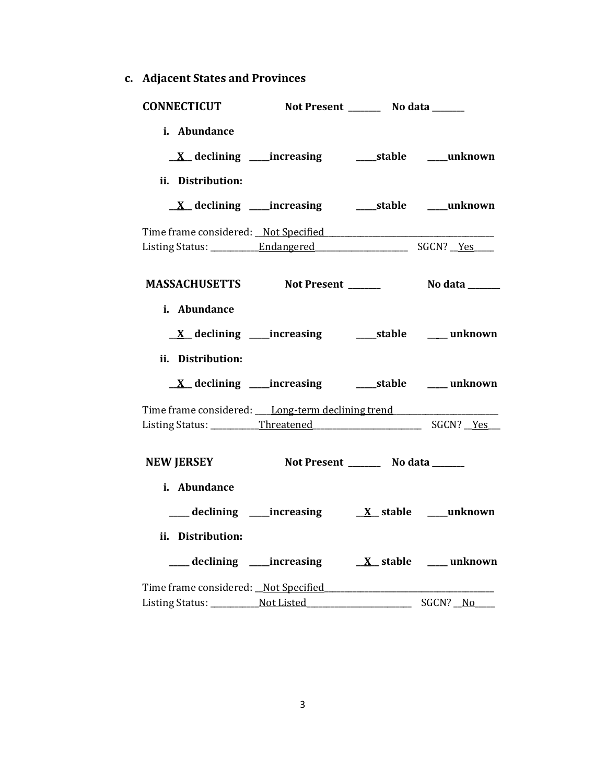**c. Adjacent States and Provinces**

| <b>CONNECTICUT</b>                                                    | Not Present __________ No data _______                     |          |
|-----------------------------------------------------------------------|------------------------------------------------------------|----------|
| i. Abundance                                                          |                                                            |          |
|                                                                       |                                                            |          |
| ii. Distribution:                                                     |                                                            |          |
|                                                                       | <u>X</u> declining ____increasing ______stable ____unknown |          |
|                                                                       |                                                            |          |
|                                                                       |                                                            |          |
| MASSACHUSETTS Not Present _______ No data _____                       |                                                            |          |
| i. Abundance                                                          |                                                            |          |
|                                                                       |                                                            |          |
| ii. Distribution:                                                     |                                                            |          |
|                                                                       |                                                            |          |
| Time frame considered: <i>Long-term declining trend</i> [1997] [2004] |                                                            |          |
|                                                                       |                                                            |          |
| NEW JERSEY Not Present ________ No data ______                        |                                                            |          |
| i. Abundance                                                          |                                                            |          |
|                                                                       |                                                            |          |
| ii. Distribution:                                                     |                                                            |          |
|                                                                       |                                                            |          |
|                                                                       |                                                            |          |
|                                                                       |                                                            | SGCN? No |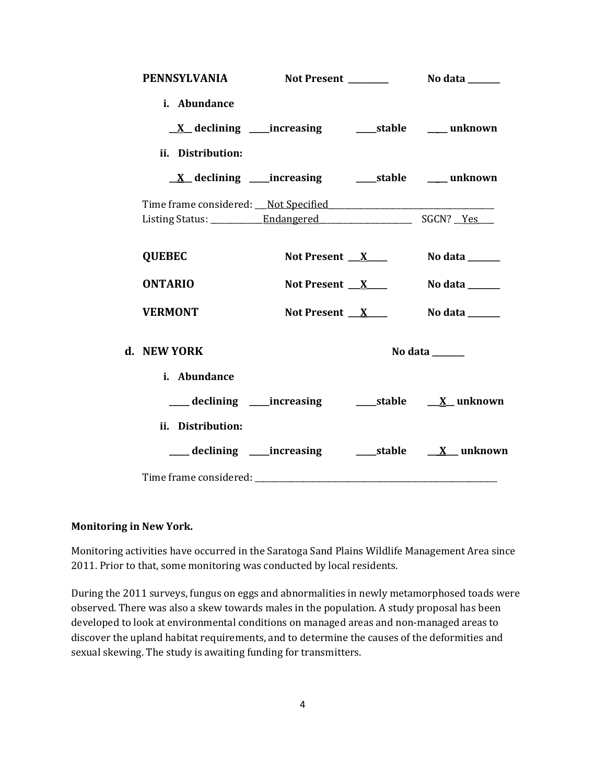| PENNSYLVANIA                |                 |                                                                     |
|-----------------------------|-----------------|---------------------------------------------------------------------|
| i. Abundance                |                 |                                                                     |
| ii. Distribution:           |                 |                                                                     |
|                             |                 |                                                                     |
|                             |                 |                                                                     |
| <b>QUEBEC</b>               | Not Present $X$ | No data ______                                                      |
| <b>ONTARIO</b>              | Not Present $X$ | No data ______                                                      |
| <b>VERMONT</b>              | Not Present $X$ | No data ______                                                      |
| d. NEW YORK<br>i. Abundance |                 | No data ______                                                      |
|                             |                 |                                                                     |
| ii. Distribution:           |                 | ___ declining ____increasing _______stable ____ <u>X</u> __ unknown |
|                             |                 |                                                                     |

# **Monitoring in New York.**

Monitoring activities have occurred in the Saratoga Sand Plains Wildlife Management Area since 2011. Prior to that, some monitoring was conducted by local residents.

During the 2011 surveys, fungus on eggs and abnormalities in newly metamorphosed toads were observed. There was also a skew towards males in the population. A study proposal has been developed to look at environmental conditions on managed areas and non-managed areas to discover the upland habitat requirements, and to determine the causes of the deformities and sexual skewing. The study is awaiting funding for transmitters.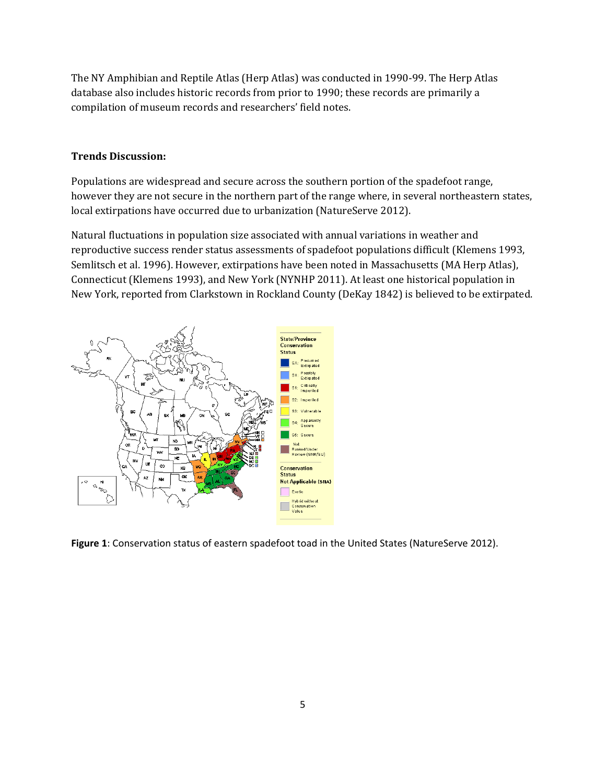The NY Amphibian and Reptile Atlas (Herp Atlas) was conducted in 1990-99. The Herp Atlas database also includes historic records from prior to 1990; these records are primarily a compilation of museum records and researchers' field notes.

## **Trends Discussion:**

Populations are widespread and secure across the southern portion of the spadefoot range, however they are not secure in the northern part of the range where, in several northeastern states, local extirpations have occurred due to urbanization (NatureServe 2012).

Natural fluctuations in population size associated with annual variations in weather and reproductive success render status assessments of spadefoot populations difficult (Klemens 1993, Semlitsch et al. 1996). However, extirpations have been noted in Massachusetts (MA Herp Atlas), Connecticut (Klemens 1993), and New York (NYNHP 2011). At least one historical population in New York, reported from Clarkstown in Rockland County (DeKay 1842) is believed to be extirpated.



**Figure 1**: Conservation status of eastern spadefoot toad in the United States (NatureServe 2012).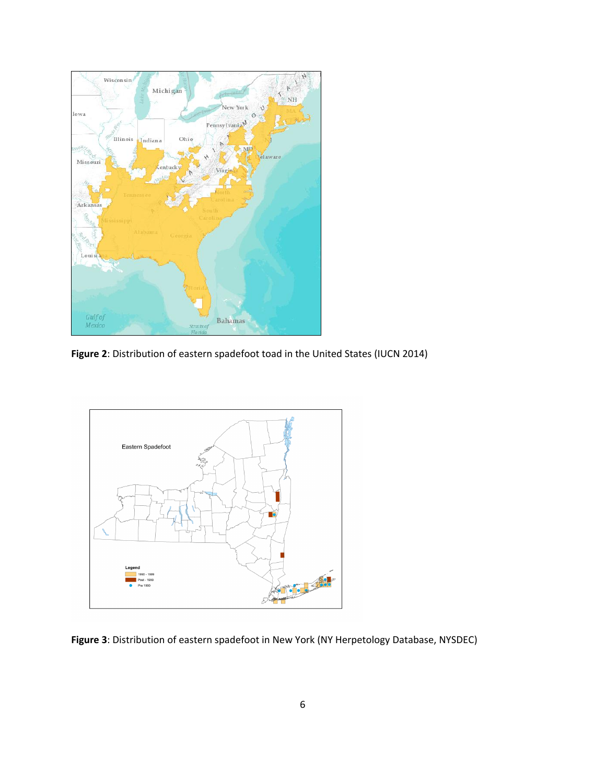

**Figure 2**: Distribution of eastern spadefoot toad in the United States (IUCN 2014)



**Figure 3**: Distribution of eastern spadefoot in New York (NY Herpetology Database, NYSDEC)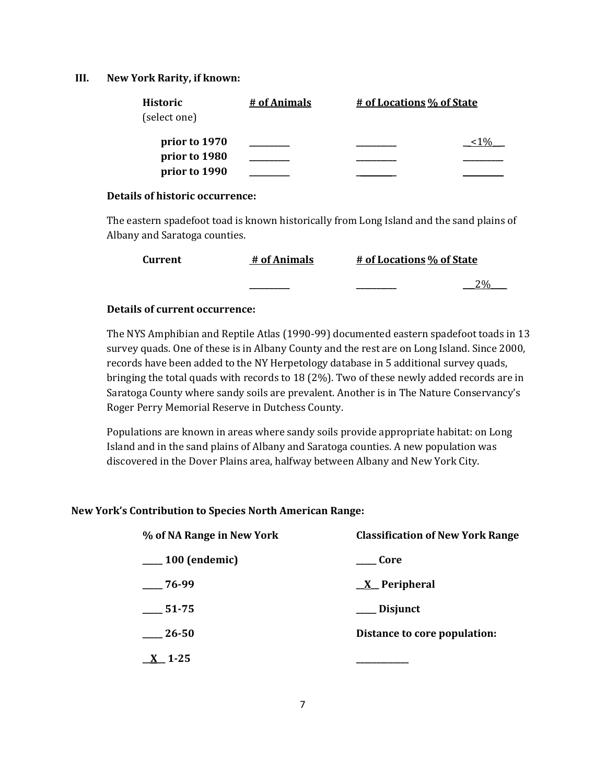## **III. New York Rarity, if known:**

| Historic      | # of Animals | # of Locations % of State |  |
|---------------|--------------|---------------------------|--|
| (select one)  |              |                           |  |
| prior to 1970 |              |                           |  |
| prior to 1980 |              |                           |  |
| prior to 1990 |              |                           |  |

## **Details of historic occurrence:**

The eastern spadefoot toad is known historically from Long Island and the sand plains of Albany and Saratoga counties.

| Current | # of Animals | # of Locations % of State |                 |
|---------|--------------|---------------------------|-----------------|
|         |              |                           | 20 <sub>6</sub> |

## **Details of current occurrence:**

The NYS Amphibian and Reptile Atlas (1990-99) documented eastern spadefoot toads in 13 survey quads. One of these is in Albany County and the rest are on Long Island. Since 2000, records have been added to the NY Herpetology database in 5 additional survey quads, bringing the total quads with records to 18 (2%). Two of these newly added records are in Saratoga County where sandy soils are prevalent. Another is in The Nature Conservancy's Roger Perry Memorial Reserve in Dutchess County.

Populations are known in areas where sandy soils provide appropriate habitat: on Long Island and in the sand plains of Albany and Saratoga counties. A new population was discovered in the Dover Plains area, halfway between Albany and New York City.

## **New York's Contribution to Species North American Range:**

| % of NA Range in New York | <b>Classification of New York Range</b> |  |
|---------------------------|-----------------------------------------|--|
| $\frac{100}{2}$ (endemic) | <b>Core</b>                             |  |
| 76-99                     | $X$ Peripheral                          |  |
| $\frac{1}{2}$ 51-75       | ___ Disjunct                            |  |
| $\frac{-26}{50}$          | Distance to core population:            |  |
| $\underline{X}$ 1-25      |                                         |  |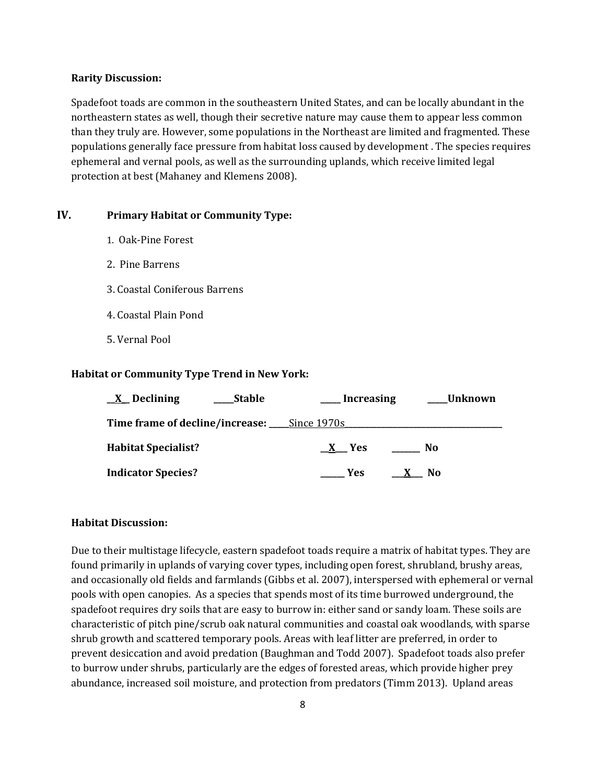#### **Rarity Discussion:**

Spadefoot toads are common in the southeastern United States, and can be locally abundant in the northeastern states as well, though their secretive nature may cause them to appear less common than they truly are. However, some populations in the Northeast are limited and fragmented. These populations generally face pressure from habitat loss caused by development . The species requires ephemeral and vernal pools, as well as the surrounding uplands, which receive limited legal protection at best (Mahaney and Klemens 2008).

## **IV. Primary Habitat or Community Type:**

- 1. Oak-Pine Forest
- 2. Pine Barrens
- 3. Coastal Coniferous Barrens
- 4. Coastal Plain Pond
- 5. Vernal Pool

#### **Habitat or Community Type Trend in New York:**

| $\underline{X}$ Declining<br><b>Stable</b>  | Increasing          | Unknown        |
|---------------------------------------------|---------------------|----------------|
| Time frame of decline/increase: Since 1970s |                     |                |
| <b>Habitat Specialist?</b>                  | X Yes               | No.            |
| <b>Indicator Species?</b>                   | Yes<br>$\mathbf{X}$ | N <sub>0</sub> |

## **Habitat Discussion:**

Due to their multistage lifecycle, eastern spadefoot toads require a matrix of habitat types. They are found primarily in uplands of varying cover types, including open forest, shrubland, brushy areas, and occasionally old fields and farmlands (Gibbs et al. 2007), interspersed with ephemeral or vernal pools with open canopies. As a species that spends most of its time burrowed underground, the spadefoot requires dry soils that are easy to burrow in: either sand or sandy loam. These soils are characteristic of pitch pine/scrub oak natural communities and coastal oak woodlands, with sparse shrub growth and scattered temporary pools. Areas with leaf litter are preferred, in order to prevent desiccation and avoid predation (Baughman and Todd 2007). Spadefoot toads also prefer to burrow under shrubs, particularly are the edges of forested areas, which provide higher prey abundance, increased soil moisture, and protection from predators (Timm 2013). Upland areas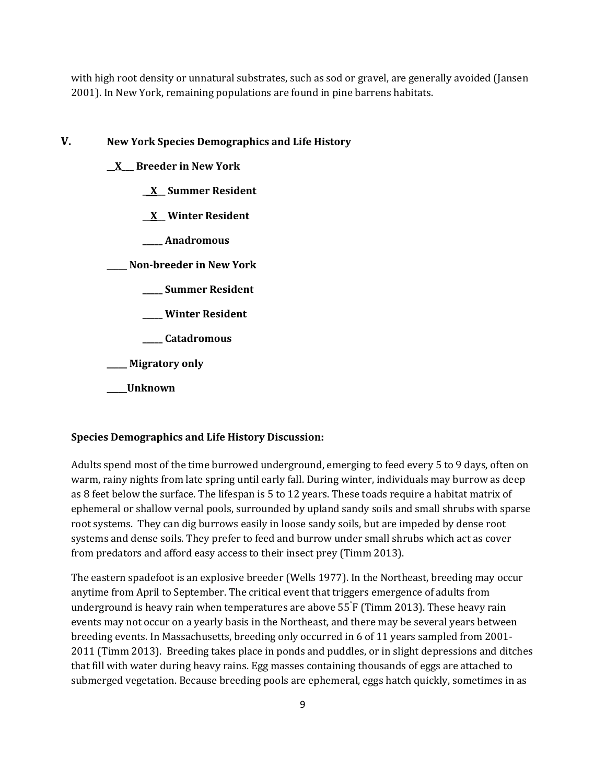with high root density or unnatural substrates, such as sod or gravel, are generally avoided (Jansen 2001). In New York, remaining populations are found in pine barrens habitats.

# **V. New York Species Demographics and Life History**

- **\_\_X\_\_\_ Breeder in New York**
	- **\_\_X\_\_ Summer Resident**
	- **\_\_X\_\_ Winter Resident**
	- **\_\_\_\_\_ Anadromous**

**\_\_\_\_\_ Non-breeder in New York**

- **\_\_\_\_\_ Summer Resident**
- **\_\_\_\_\_ Winter Resident**

**\_\_\_\_\_ Catadromous**

**\_\_\_\_\_ Migratory only**

**\_\_\_\_\_Unknown**

## **Species Demographics and Life History Discussion:**

Adults spend most of the time burrowed underground, emerging to feed every 5 to 9 days, often on warm, rainy nights from late spring until early fall. During winter, individuals may burrow as deep as 8 feet below the surface. The lifespan is 5 to 12 years. These toads require a habitat matrix of ephemeral or shallow vernal pools, surrounded by upland sandy soils and small shrubs with sparse root systems. They can dig burrows easily in loose sandy soils, but are impeded by dense root systems and dense soils. They prefer to feed and burrow under small shrubs which act as cover from predators and afford easy access to their insect prey (Timm 2013).

The eastern spadefoot is an explosive breeder (Wells 1977). In the Northeast, breeding may occur anytime from April to September. The critical event that triggers emergence of adults from underground is heavy rain when temperatures are above 55 F (Timm 2013). These heavy rain events may not occur on a yearly basis in the Northeast, and there may be several years between breeding events. In Massachusetts, breeding only occurred in 6 of 11 years sampled from 2001- 2011 (Timm 2013). Breeding takes place in ponds and puddles, or in slight depressions and ditches that fill with water during heavy rains. Egg masses containing thousands of eggs are attached to submerged vegetation. Because breeding pools are ephemeral, eggs hatch quickly, sometimes in as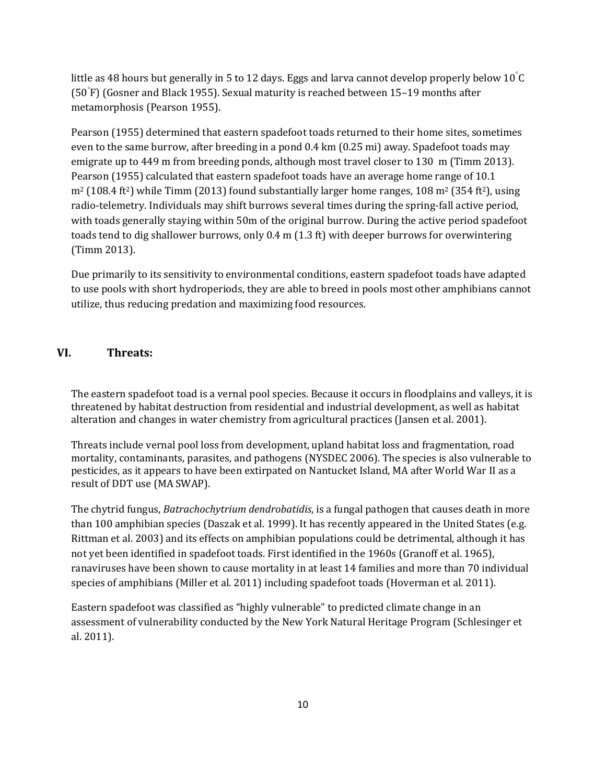little as 48 hours but generally in 5 to 12 days. Eggs and larva cannot develop properly below 10 $^{\circ}$ C (50 F) (Gosner and Black 1955). Sexual maturity is reached between 15–19 months after metamorphosis (Pearson 1955).

Pearson (1955) determined that eastern spadefoot toads returned to their home sites, sometimes even to the same burrow, after breeding in a pond 0.4 km (0.25 mi) away. Spadefoot toads may emigrate up to 449 m from breeding ponds, although most travel closer to 130 m (Timm 2013). Pearson (1955) calculated that eastern spadefoot toads have an average home range of 10.1  $m^2$  (108.4 ft<sup>2</sup>) while Timm (2013) found substantially larger home ranges, 108 m<sup>2</sup> (354 ft<sup>2</sup>), using radio-telemetry. Individuals may shift burrows several times during the spring-fall active period, with toads generally staying within 50m of the original burrow. During the active period spadefoot toads tend to dig shallower burrows, only 0.4 m (1.3 ft) with deeper burrows for overwintering (Timm 2013).

Due primarily to its sensitivity to environmental conditions, eastern spadefoot toads have adapted to use pools with short hydroperiods, they are able to breed in pools most other amphibians cannot utilize, thus reducing predation and maximizing food resources.

# **VI. Threats:**

The eastern spadefoot toad is a vernal pool species. Because it occurs in floodplains and valleys, it is threatened by habitat destruction from residential and industrial development, as well as habitat alteration and changes in water chemistry from agricultural practices (Jansen et al. 2001).

Threats include vernal pool loss from development, upland habitat loss and fragmentation, road mortality, contaminants, parasites, and pathogens (NYSDEC 2006). The species is also vulnerable to pesticides, as it appears to have been extirpated on Nantucket Island, MA after World War II as a result of DDT use (MA SWAP).

The chytrid fungus, *Batrachochytrium dendrobatidis*, is a fungal pathogen that causes death in more than 100 amphibian species (Daszak et al. 1999). It has recently appeared in the United States (e.g. Rittman et al. 2003) and its effects on amphibian populations could be detrimental, although it has not yet been identified in spadefoot toads. First identified in the 1960s (Granoff et al. 1965), ranaviruses have been shown to cause mortality in at least 14 families and more than 70 individual species of amphibians (Miller et al. 2011) including spadefoot toads (Hoverman et al. 2011).

Eastern spadefoot was classified as "highly vulnerable" to predicted climate change in an assessment of vulnerability conducted by the New York Natural Heritage Program (Schlesinger et al. 2011).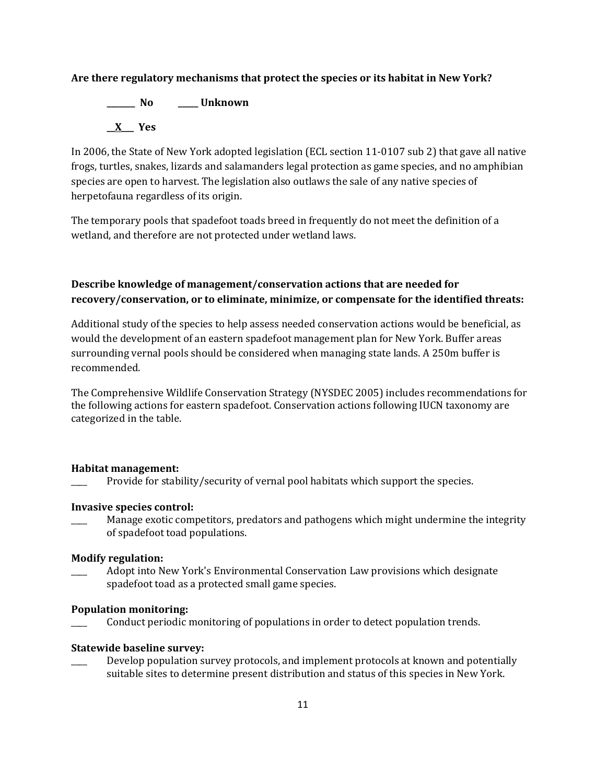## **Are there regulatory mechanisms that protect the species or its habitat in New York?**

**\_\_\_\_\_\_\_ No \_\_\_\_\_ Unknown \_\_X\_\_\_ Yes**

In 2006, the State of New York adopted legislation (ECL section 11-0107 sub 2) that gave all native frogs, turtles, snakes, lizards and salamanders legal protection as game species, and no amphibian species are open to harvest. The legislation also outlaws the sale of any native species of herpetofauna regardless of its origin.

The temporary pools that spadefoot toads breed in frequently do not meet the definition of a wetland, and therefore are not protected under wetland laws.

# **Describe knowledge of management/conservation actions that are needed for recovery/conservation, or to eliminate, minimize, or compensate for the identified threats:**

Additional study of the species to help assess needed conservation actions would be beneficial, as would the development of an eastern spadefoot management plan for New York. Buffer areas surrounding vernal pools should be considered when managing state lands. A 250m buffer is recommended.

The Comprehensive Wildlife Conservation Strategy (NYSDEC 2005) includes recommendations for the following actions for eastern spadefoot. Conservation actions following IUCN taxonomy are categorized in the table.

## **Habitat management:**

Provide for stability/security of vernal pool habitats which support the species.

## **Invasive species control:**

Manage exotic competitors, predators and pathogens which might undermine the integrity of spadefoot toad populations.

## **Modify regulation:**

\_\_\_\_ Adopt into New York's Environmental Conservation Law provisions which designate spadefoot toad as a protected small game species.

## **Population monitoring:**

\_\_\_\_ Conduct periodic monitoring of populations in order to detect population trends.

## **Statewide baseline survey:**

Develop population survey protocols, and implement protocols at known and potentially suitable sites to determine present distribution and status of this species in New York.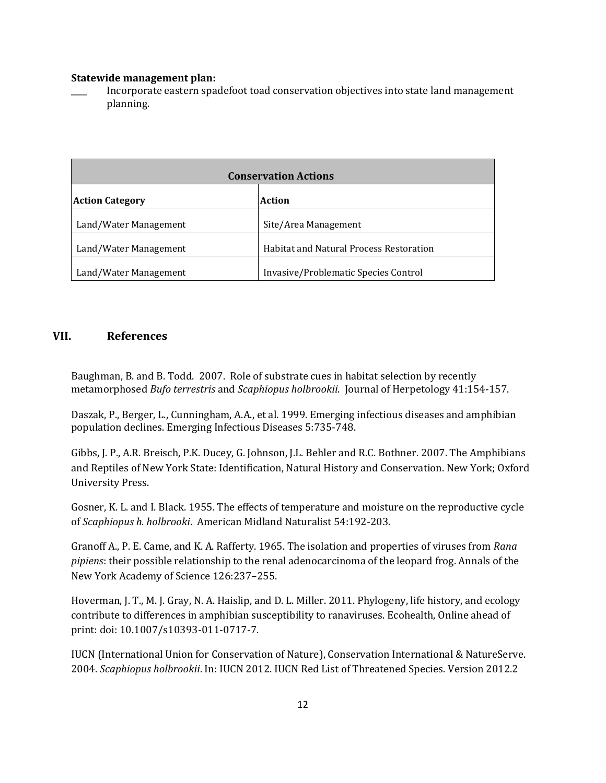#### **Statewide management plan:**

\_\_\_\_ Incorporate eastern spadefoot toad conservation objectives into state land management planning.

| <b>Conservation Actions</b> |                                                |  |
|-----------------------------|------------------------------------------------|--|
| <b>Action Category</b>      | <b>Action</b>                                  |  |
| Land/Water Management       | Site/Area Management                           |  |
| Land/Water Management       | <b>Habitat and Natural Process Restoration</b> |  |
| Land/Water Management       | Invasive/Problematic Species Control           |  |

## **VII. References**

Baughman, B. and B. Todd. 2007. Role of substrate cues in habitat selection by recently metamorphosed *Bufo terrestris* and *Scaphiopus holbrookii*. Journal of Herpetology 41:154-157.

Daszak, P., Berger, L., Cunningham, A.A., et al. 1999. Emerging infectious diseases and amphibian population declines. Emerging Infectious Diseases 5:735-748.

Gibbs, J. P., A.R. Breisch, P.K. Ducey, G. Johnson, J.L. Behler and R.C. Bothner. 2007. The Amphibians and Reptiles of New York State: Identification, Natural History and Conservation. New York; Oxford University Press.

Gosner, K. L. and I. Black. 1955. The effects of temperature and moisture on the reproductive cycle of *Scaphiopus h. holbrooki*. American Midland Naturalist 54:192-203.

Granoff A., P. E. Came, and K. A. Rafferty. 1965. The isolation and properties of viruses from *Rana pipiens*: their possible relationship to the renal adenocarcinoma of the leopard frog. Annals of the New York Academy of Science 126:237–255.

Hoverman, J. T., M. J. Gray, N. A. Haislip, and D. L. Miller. 2011. Phylogeny, life history, and ecology contribute to differences in amphibian susceptibility to ranaviruses. Ecohealth, Online ahead of print: doi: 10.1007/s10393-011-0717-7.

IUCN (International Union for Conservation of Nature), Conservation International & NatureServe. 2004. *Scaphiopus holbrookii*. In: IUCN 2012. IUCN Red List of Threatened Species. Version 2012.2